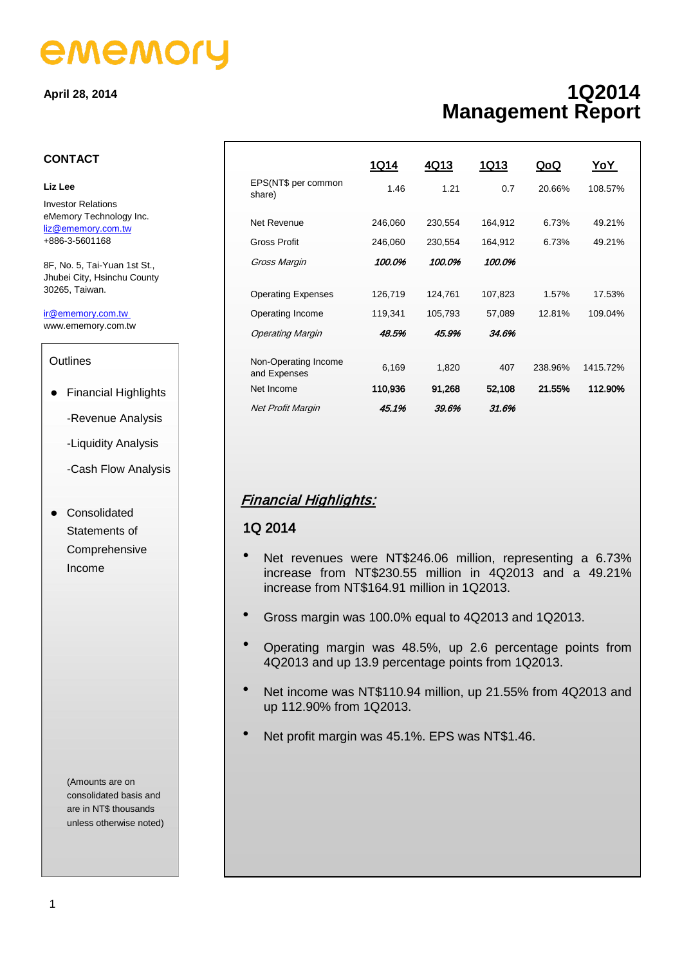# ememory

#### **April 28, 2014**

#### **CONTACT**

#### **Liz Lee**

Investor Relations eMemory Technology Inc. [liz@ememory.com.tw](mailto:liz@ememory.com.tw) +886-3-5601168

8F, No. 5, Tai-Yuan 1st St., Jhubei City, Hsinchu County 30265, Taiwan.

www.ememory.com.tw ir@ememory.com.tw

#### **Outlines**

- Financial Highlights
	- -Revenue Analysis
	- -Liquidity Analysis
	- -Cash Flow Analysis
- **•** Consolidated Statements of Comprehensive Income

(Amounts are on consolidated basis and are in NT\$ thousands unless otherwise noted)

# **1Q2014 Management Report**

|                                      | <u>1Q14</u> | 4Q13    | <u>1Q13</u> | QoQ     | YoY.     |  |  |
|--------------------------------------|-------------|---------|-------------|---------|----------|--|--|
| EPS(NT\$ per common<br>share)        | 1.46        | 1.21    | 0.7         | 20.66%  | 108.57%  |  |  |
| Net Revenue                          | 246,060     | 230,554 | 164,912     | 6.73%   | 49.21%   |  |  |
| Gross Profit                         | 246,060     | 230,554 | 164,912     | 6.73%   | 49.21%   |  |  |
| Gross Margin                         | 100.0%      | 100.0%  | 100.0%      |         |          |  |  |
|                                      |             |         |             |         |          |  |  |
| <b>Operating Expenses</b>            | 126,719     | 124,761 | 107,823     | 1.57%   | 17.53%   |  |  |
| Operating Income                     | 119,341     | 105,793 | 57,089      | 12.81%  | 109.04%  |  |  |
| <b>Operating Margin</b>              | 48.5%       | 45.9%   | 34.6%       |         |          |  |  |
|                                      |             |         |             |         |          |  |  |
| Non-Operating Income<br>and Expenses | 6,169       | 1,820   | 407         | 238.96% | 1415.72% |  |  |
| Net Income                           | 110,936     | 91,268  | 52,108      | 21.55%  | 112.90%  |  |  |
| <b>Net Profit Margin</b>             | 45.1%       | 39.6%   | 31.6%       |         |          |  |  |

# Financial Highlights:

### 1Q 2014

- Net revenues were NT\$246.06 million, representing a 6.73% increase from NT\$230.55 million in 4Q2013 and a 49.21% increase from NT\$164.91 million in 1Q2013.
- Gross margin was 100.0% equal to 4Q2013 and 1Q2013.
- Operating margin was 48.5%, up 2.6 percentage points from 4Q2013 and up 13.9 percentage points from 1Q2013.
- Net income was NT\$110.94 million, up 21.55% from 4Q2013 and up 112.90% from 1Q2013.
- Net profit margin was 45.1%. EPS was NT\$1.46.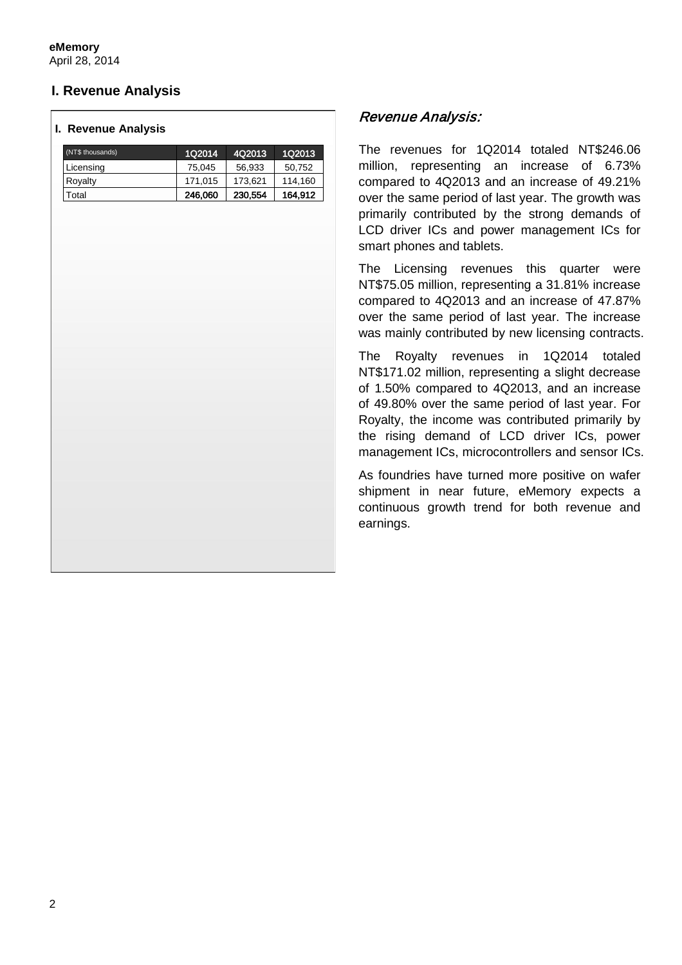# **I. Revenue Analysis**

#### **I. Revenue Analysis**

| (NT\$ thousands) | 1Q2014  | 4Q2013  | 1Q2013  |
|------------------|---------|---------|---------|
| Licensing        | 75,045  | 56,933  | 50,752  |
| Royalty          | 171,015 | 173,621 | 114,160 |
| Total            | 246,060 | 230,554 | 164,912 |
|                  |         |         |         |
|                  |         |         |         |
|                  |         |         |         |
|                  |         |         |         |
|                  |         |         |         |
|                  |         |         |         |
|                  |         |         |         |
|                  |         |         |         |
|                  |         |         |         |
|                  |         |         |         |
|                  |         |         |         |
|                  |         |         |         |
|                  |         |         |         |
|                  |         |         |         |
|                  |         |         |         |
|                  |         |         |         |
|                  |         |         |         |
|                  |         |         |         |
|                  |         |         |         |
|                  |         |         |         |
|                  |         |         |         |
|                  |         |         |         |
|                  |         |         |         |
|                  |         |         |         |
|                  |         |         |         |
|                  |         |         |         |
|                  |         |         |         |
|                  |         |         |         |

## Revenue Analysis:

The revenues for 1Q2014 totaled NT\$246.06 million, representing an increase of 6.73% compared to 4Q2013 and an increase of 49.21% over the same period of last year. The growth was primarily contributed by the strong demands of LCD driver ICs and power management ICs for smart phones and tablets.

The Licensing revenues this quarter were NT\$75.05 million, representing a 31.81% increase compared to 4Q2013 and an increase of 47.87% over the same period of last year. The increase was mainly contributed by new licensing contracts.

The Royalty revenues in 1Q2014 totaled NT\$171.02 million, representing a slight decrease of 1.50% compared to 4Q2013, and an increase of 49.80% over the same period of last year. For Royalty, the income was contributed primarily by the rising demand of LCD driver ICs, power management ICs, microcontrollers and sensor ICs.

As foundries have turned more positive on wafer shipment in near future, eMemory expects a continuous growth trend for both revenue and earnings.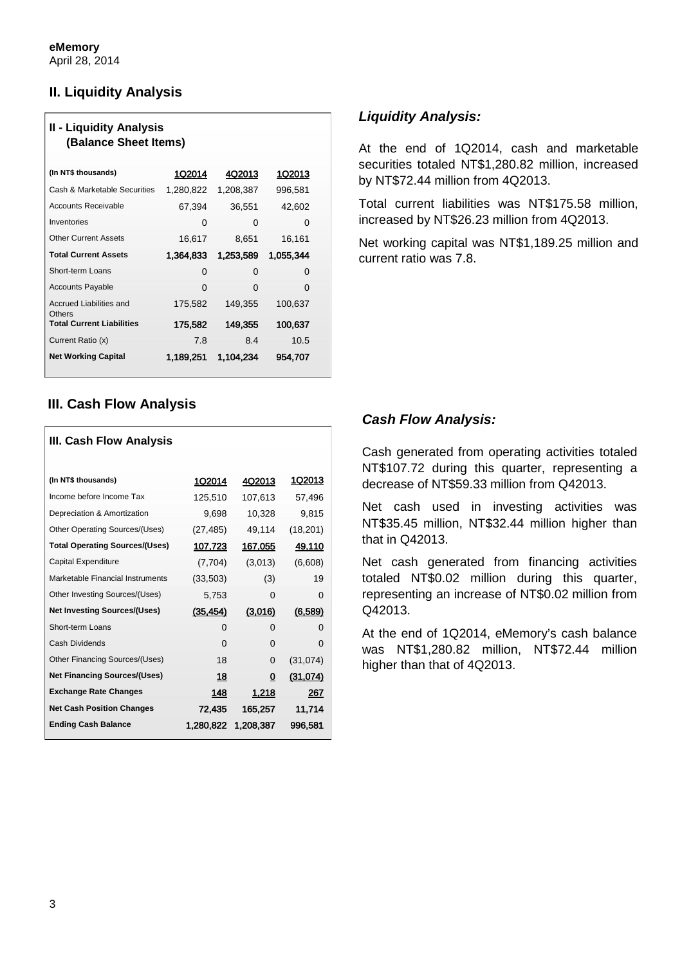# **II. Liquidity Analysis**

| <b>II - Liquidity Analysis</b><br>(Balance Sheet Items) |           |           |           |  |  |
|---------------------------------------------------------|-----------|-----------|-----------|--|--|
| (In NT\$ thousands)                                     | 1Q2014    | 4Q2013    | 1Q2013    |  |  |
| Cash & Marketable Securities                            | 1,280,822 | 1,208,387 | 996,581   |  |  |
| <b>Accounts Receivable</b>                              | 67,394    | 36,551    | 42,602    |  |  |
| Inventories                                             | 0         | 0         | 0         |  |  |
| <b>Other Current Assets</b>                             | 16,617    | 8,651     | 16,161    |  |  |
| <b>Total Current Assets</b>                             | 1.364,833 | 1,253,589 | 1,055,344 |  |  |
| Short-term Loans                                        | 0         | 0         | O         |  |  |
| <b>Accounts Payable</b>                                 | 0         | 0         | O         |  |  |
| Accrued Liabilities and<br>Others                       | 175,582   | 149,355   | 100,637   |  |  |
| <b>Total Current Liabilities</b>                        | 175,582   | 149,355   | 100,637   |  |  |
| Current Ratio (x)                                       | 7.8       | 8.4       | 10.5      |  |  |
| <b>Net Working Capital</b>                              | 1.189.251 | 1,104,234 | 954,707   |  |  |

# **III. Cash Flow Analysis**

| III. Cash Flow Analysis               |           |                |                 |  |  |
|---------------------------------------|-----------|----------------|-----------------|--|--|
| (In NT\$ thousands)                   | 1Q2014    | 4Q2013         | 1Q2013          |  |  |
| Income before Income Tax              | 125,510   | 107,613        | 57,496          |  |  |
| Depreciation & Amortization           | 9,698     | 10,328         | 9,815           |  |  |
| Other Operating Sources/(Uses)        | (27, 485) | 49,114         | (18, 201)       |  |  |
| <b>Total Operating Sources/(Uses)</b> | 107,723   | <u>167,055</u> | <u>49,110</u>   |  |  |
| Capital Expenditure                   | (7, 704)  | (3,013)        | (6,608)         |  |  |
| Marketable Financial Instruments      | (33,503)  | (3)            | 19              |  |  |
| Other Investing Sources/(Uses)        | 5,753     | 0              | 0               |  |  |
| <b>Net Investing Sources/(Uses)</b>   | (35, 454) | (3,016)        | (6.589)         |  |  |
| Short-term Loans                      | $\Omega$  | 0              | 0               |  |  |
| <b>Cash Dividends</b>                 | $\Omega$  | 0              | 0               |  |  |
| Other Financing Sources/(Uses)        | 18        | 0              | (31, 074)       |  |  |
| <b>Net Financing Sources/(Uses)</b>   | 18        | 0              | <u>(31,074)</u> |  |  |
| <b>Exchange Rate Changes</b>          | 148       | 1,218          | 267             |  |  |
| <b>Net Cash Position Changes</b>      | 72,435    | 165,257        | 11,714          |  |  |
| <b>Ending Cash Balance</b>            | 1,280,822 | 1.208.387      | 996.581         |  |  |

# *Liquidity Analysis:*

At the end of 1Q2014, cash and marketable securities totaled NT\$1,280.82 million, increased by NT\$72.44 million from 4Q2013.

Total current liabilities was NT\$175.58 million, increased by NT\$26.23 million from 4Q2013.

Net working capital was NT\$1,189.25 million and current ratio was 7.8.

# *Cash Flow Analysis:*

Cash generated from operating activities totaled NT\$107.72 during this quarter, representing a decrease of NT\$59.33 million from Q42013.

Net cash used in investing activities was NT\$35.45 million, NT\$32.44 million higher than that in Q42013.

Net cash generated from financing activities totaled NT\$0.02 million during this quarter, representing an increase of NT\$0.02 million from Q42013.

At the end of 1Q2014, eMemory's cash balance was NT\$1,280.82 million, NT\$72.44 million higher than that of 4Q2013.